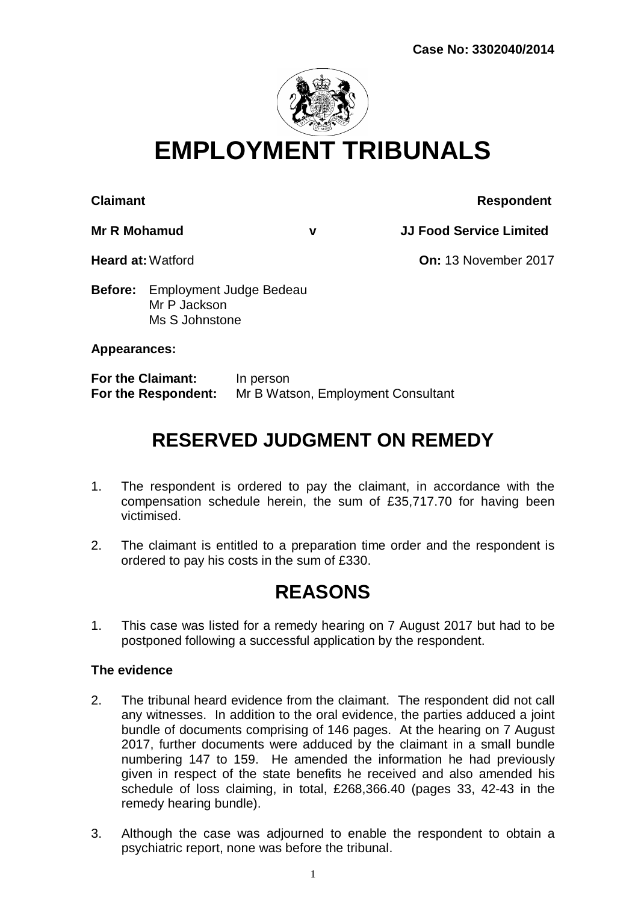

# **EMPLOYMENT TRIBUNALS**

#### **Claimant Claimant Respondent**

**Mr R Mohamud v JJ Food Service Limited**

**Heard at:**Watford **On:** 13 November 2017

**Before:** Employment Judge Bedeau Mr P Jackson Ms S Johnstone

### **Appearances:**

**For the Claimant:** In person **For the Respondent:** Mr B Watson, Employment Consultant

## **RESERVED JUDGMENT ON REMEDY**

- 1. The respondent is ordered to pay the claimant, in accordance with the compensation schedule herein, the sum of £35,717.70 for having been victimised.
- 2. The claimant is entitled to a preparation time order and the respondent is ordered to pay his costs in the sum of £330.

## **REASONS**

1. This case was listed for a remedy hearing on 7 August 2017 but had to be postponed following a successful application by the respondent.

### **The evidence**

- 2. The tribunal heard evidence from the claimant. The respondent did not call any witnesses. In addition to the oral evidence, the parties adduced a joint bundle of documents comprising of 146 pages. At the hearing on 7 August 2017, further documents were adduced by the claimant in a small bundle numbering 147 to 159. He amended the information he had previously given in respect of the state benefits he received and also amended his schedule of loss claiming, in total, £268,366.40 (pages 33, 42-43 in the remedy hearing bundle).
- 3. Although the case was adjourned to enable the respondent to obtain a psychiatric report, none was before the tribunal.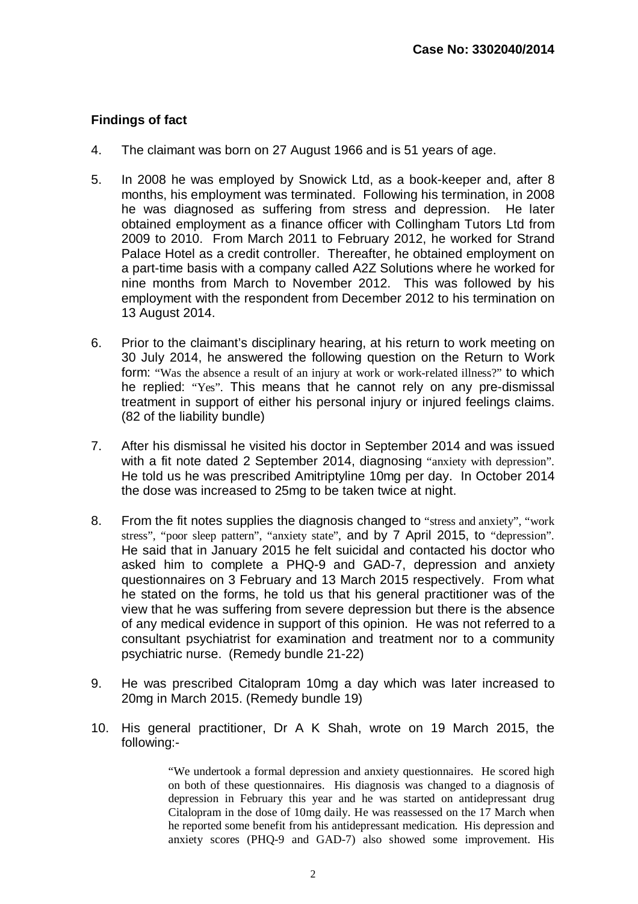#### **Findings of fact**

- 4. The claimant was born on 27 August 1966 and is 51 years of age.
- 5. In 2008 he was employed by Snowick Ltd, as a book-keeper and, after 8 months, his employment was terminated. Following his termination, in 2008 he was diagnosed as suffering from stress and depression. He later obtained employment as a finance officer with Collingham Tutors Ltd from 2009 to 2010. From March 2011 to February 2012, he worked for Strand Palace Hotel as a credit controller. Thereafter, he obtained employment on a part-time basis with a company called A2Z Solutions where he worked for nine months from March to November 2012. This was followed by his employment with the respondent from December 2012 to his termination on 13 August 2014.
- 6. Prior to the claimant's disciplinary hearing, at his return to work meeting on 30 July 2014, he answered the following question on the Return to Work form: "Was the absence a result of an injury at work or work-related illness?" to which he replied: "Yes". This means that he cannot rely on any pre-dismissal treatment in support of either his personal injury or injured feelings claims. (82 of the liability bundle)
- 7. After his dismissal he visited his doctor in September 2014 and was issued with a fit note dated 2 September 2014, diagnosing "anxiety with depression". He told us he was prescribed Amitriptyline 10mg per day. In October 2014 the dose was increased to 25mg to be taken twice at night.
- 8. From the fit notes supplies the diagnosis changed to "stress and anxiety", "work stress", "poor sleep pattern", "anxiety state", and by 7 April 2015, to "depression". He said that in January 2015 he felt suicidal and contacted his doctor who asked him to complete a PHQ-9 and GAD-7, depression and anxiety questionnaires on 3 February and 13 March 2015 respectively. From what he stated on the forms, he told us that his general practitioner was of the view that he was suffering from severe depression but there is the absence of any medical evidence in support of this opinion. He was not referred to a consultant psychiatrist for examination and treatment nor to a community psychiatric nurse. (Remedy bundle 21-22)
- 9. He was prescribed Citalopram 10mg a day which was later increased to 20mg in March 2015. (Remedy bundle 19)
- 10. His general practitioner, Dr A K Shah, wrote on 19 March 2015, the following:-

"We undertook a formal depression and anxiety questionnaires. He scored high on both of these questionnaires. His diagnosis was changed to a diagnosis of depression in February this year and he was started on antidepressant drug Citalopram in the dose of 10mg daily. He was reassessed on the 17 March when he reported some benefit from his antidepressant medication. His depression and anxiety scores (PHQ-9 and GAD-7) also showed some improvement. His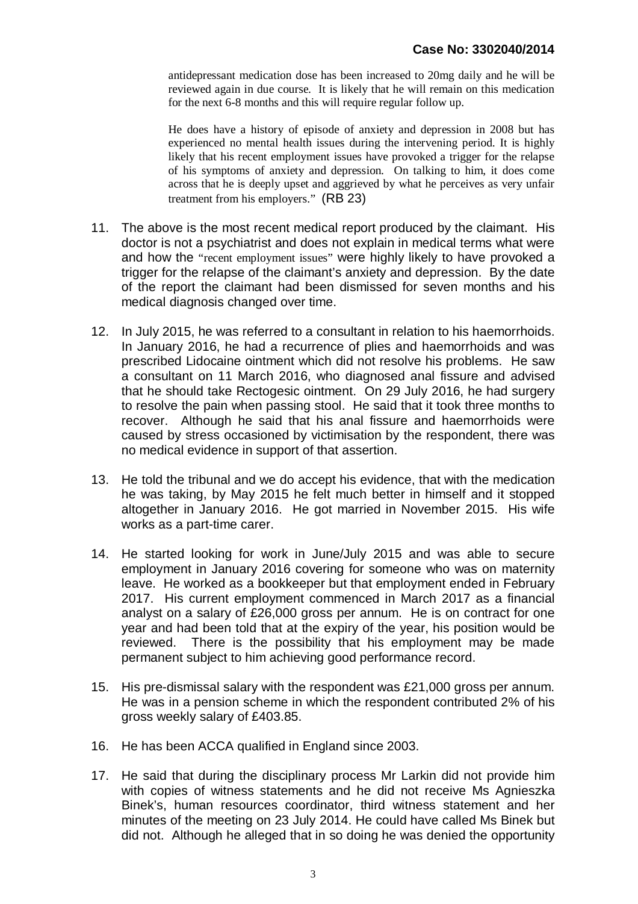antidepressant medication dose has been increased to 20mg daily and he will be reviewed again in due course. It is likely that he will remain on this medication for the next 6-8 months and this will require regular follow up.

He does have a history of episode of anxiety and depression in 2008 but has experienced no mental health issues during the intervening period. It is highly likely that his recent employment issues have provoked a trigger for the relapse of his symptoms of anxiety and depression. On talking to him, it does come across that he is deeply upset and aggrieved by what he perceives as very unfair treatment from his employers." (RB 23)

- 11. The above is the most recent medical report produced by the claimant. His doctor is not a psychiatrist and does not explain in medical terms what were and how the "recent employment issues" were highly likely to have provoked a trigger for the relapse of the claimant's anxiety and depression. By the date of the report the claimant had been dismissed for seven months and his medical diagnosis changed over time.
- 12. In July 2015, he was referred to a consultant in relation to his haemorrhoids. In January 2016, he had a recurrence of plies and haemorrhoids and was prescribed Lidocaine ointment which did not resolve his problems. He saw a consultant on 11 March 2016, who diagnosed anal fissure and advised that he should take Rectogesic ointment. On 29 July 2016, he had surgery to resolve the pain when passing stool. He said that it took three months to recover. Although he said that his anal fissure and haemorrhoids were caused by stress occasioned by victimisation by the respondent, there was no medical evidence in support of that assertion.
- 13. He told the tribunal and we do accept his evidence, that with the medication he was taking, by May 2015 he felt much better in himself and it stopped altogether in January 2016. He got married in November 2015. His wife works as a part-time carer.
- 14. He started looking for work in June/July 2015 and was able to secure employment in January 2016 covering for someone who was on maternity leave. He worked as a bookkeeper but that employment ended in February 2017. His current employment commenced in March 2017 as a financial analyst on a salary of £26,000 gross per annum. He is on contract for one year and had been told that at the expiry of the year, his position would be reviewed. There is the possibility that his employment may be made permanent subject to him achieving good performance record.
- 15. His pre-dismissal salary with the respondent was £21,000 gross per annum. He was in a pension scheme in which the respondent contributed 2% of his gross weekly salary of £403.85.
- 16. He has been ACCA qualified in England since 2003.
- 17. He said that during the disciplinary process Mr Larkin did not provide him with copies of witness statements and he did not receive Ms Agnieszka Binek's, human resources coordinator, third witness statement and her minutes of the meeting on 23 July 2014. He could have called Ms Binek but did not. Although he alleged that in so doing he was denied the opportunity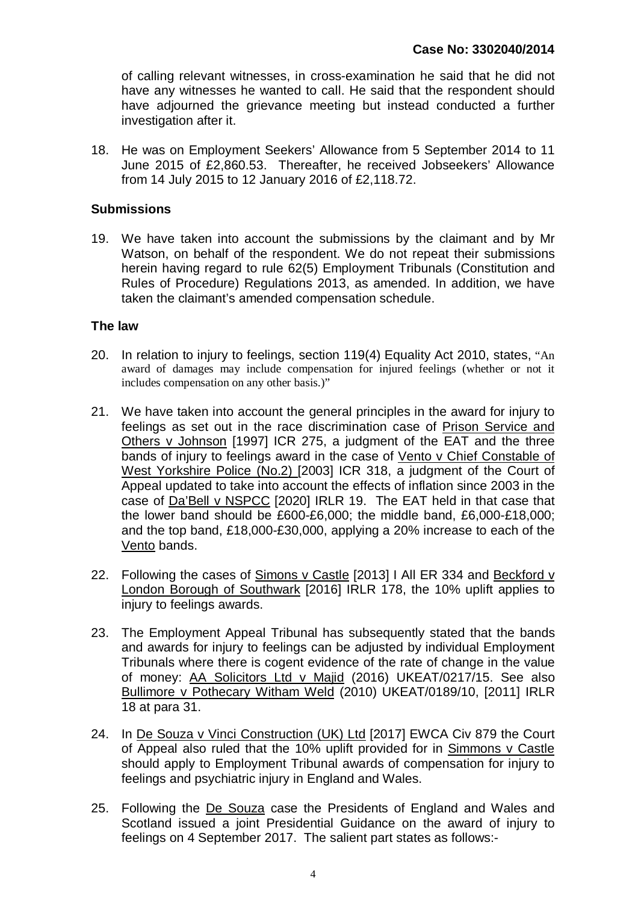of calling relevant witnesses, in cross-examination he said that he did not have any witnesses he wanted to call. He said that the respondent should have adjourned the grievance meeting but instead conducted a further investigation after it.

18. He was on Employment Seekers' Allowance from 5 September 2014 to 11 June 2015 of £2,860.53. Thereafter, he received Jobseekers' Allowance from 14 July 2015 to 12 January 2016 of £2,118.72.

#### **Submissions**

19. We have taken into account the submissions by the claimant and by Mr Watson, on behalf of the respondent. We do not repeat their submissions herein having regard to rule 62(5) Employment Tribunals (Constitution and Rules of Procedure) Regulations 2013, as amended. In addition, we have taken the claimant's amended compensation schedule.

#### **The law**

- 20. In relation to injury to feelings, section 119(4) Equality Act 2010, states, "An award of damages may include compensation for injured feelings (whether or not it includes compensation on any other basis.)"
- 21. We have taken into account the general principles in the award for injury to feelings as set out in the race discrimination case of Prison Service and Others v Johnson [1997] ICR 275, a judgment of the EAT and the three bands of injury to feelings award in the case of Vento v Chief Constable of West Yorkshire Police (No.2) [2003] ICR 318, a judgment of the Court of Appeal updated to take into account the effects of inflation since 2003 in the case of Da'Bell v NSPCC [2020] IRLR 19. The EAT held in that case that the lower band should be £600-£6,000; the middle band, £6,000-£18,000; and the top band, £18,000-£30,000, applying a 20% increase to each of the Vento bands.
- 22. Following the cases of Simons v Castle [2013] I All ER 334 and Beckford v London Borough of Southwark [2016] IRLR 178, the 10% uplift applies to injury to feelings awards.
- 23. The Employment Appeal Tribunal has subsequently stated that the bands and awards for injury to feelings can be adjusted by individual Employment Tribunals where there is cogent evidence of the rate of change in the value of money: AA Solicitors Ltd v Majid (2016) UKEAT/0217/15. See also Bullimore v Pothecary Witham Weld (2010) UKEAT/0189/10, [2011] IRLR 18 at para 31.
- 24. In De Souza v Vinci Construction (UK) Ltd [2017] EWCA Civ 879 the Court of Appeal also ruled that the 10% uplift provided for in Simmons v Castle should apply to Employment Tribunal awards of compensation for injury to feelings and psychiatric injury in England and Wales.
- 25. Following the De Souza case the Presidents of England and Wales and Scotland issued a joint Presidential Guidance on the award of injury to feelings on 4 September 2017. The salient part states as follows:-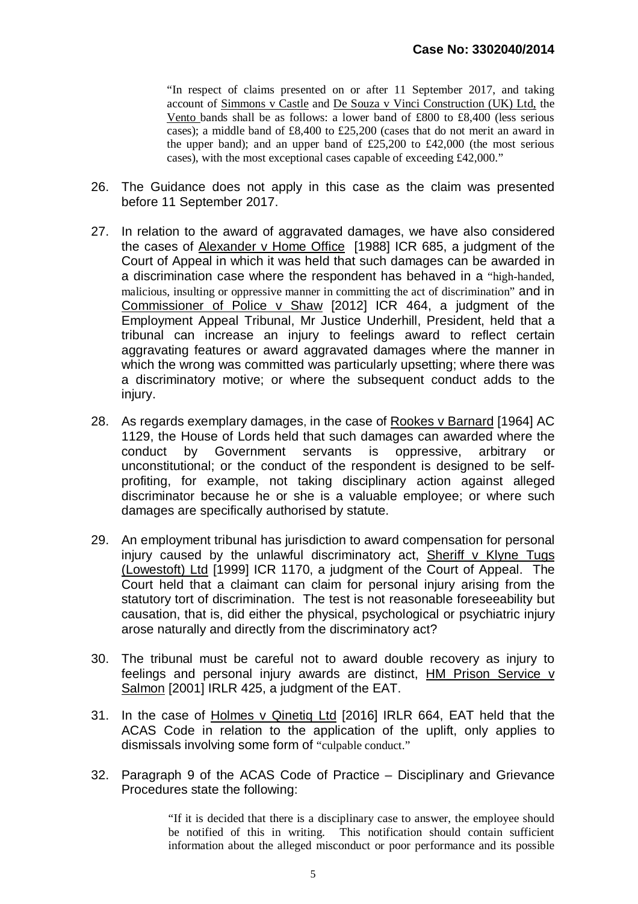"In respect of claims presented on or after 11 September 2017, and taking account of Simmons v Castle and De Souza v Vinci Construction (UK) Ltd, the Vento bands shall be as follows: a lower band of £800 to £8,400 (less serious cases); a middle band of £8,400 to £25,200 (cases that do not merit an award in the upper band); and an upper band of  $£25,200$  to  $£42,000$  (the most serious cases), with the most exceptional cases capable of exceeding £42,000."

- 26. The Guidance does not apply in this case as the claim was presented before 11 September 2017.
- 27. In relation to the award of aggravated damages, we have also considered the cases of Alexander v Home Office [1988] ICR 685, a judgment of the Court of Appeal in which it was held that such damages can be awarded in a discrimination case where the respondent has behaved in a "high-handed, malicious, insulting or oppressive manner in committing the act of discrimination" and in Commissioner of Police v Shaw [2012] ICR 464, a judgment of the Employment Appeal Tribunal, Mr Justice Underhill, President, held that a tribunal can increase an injury to feelings award to reflect certain aggravating features or award aggravated damages where the manner in which the wrong was committed was particularly upsetting; where there was a discriminatory motive; or where the subsequent conduct adds to the injury.
- 28. As regards exemplary damages, in the case of Rookes v Barnard [1964] AC 1129, the House of Lords held that such damages can awarded where the conduct by Government servants is oppressive, arbitrary or unconstitutional; or the conduct of the respondent is designed to be selfprofiting, for example, not taking disciplinary action against alleged discriminator because he or she is a valuable employee; or where such damages are specifically authorised by statute.
- 29. An employment tribunal has jurisdiction to award compensation for personal injury caused by the unlawful discriminatory act, Sheriff v Klyne Tugs (Lowestoft) Ltd [1999] ICR 1170, a judgment of the Court of Appeal. The Court held that a claimant can claim for personal injury arising from the statutory tort of discrimination. The test is not reasonable foreseeability but causation, that is, did either the physical, psychological or psychiatric injury arose naturally and directly from the discriminatory act?
- 30. The tribunal must be careful not to award double recovery as injury to feelings and personal injury awards are distinct, HM Prison Service v Salmon [2001] IRLR 425, a judgment of the EAT.
- 31. In the case of Holmes v Qinetiq Ltd [2016] IRLR 664, EAT held that the ACAS Code in relation to the application of the uplift, only applies to dismissals involving some form of "culpable conduct."
- 32. Paragraph 9 of the ACAS Code of Practice Disciplinary and Grievance Procedures state the following:

"If it is decided that there is a disciplinary case to answer, the employee should be notified of this in writing. This notification should contain sufficient information about the alleged misconduct or poor performance and its possible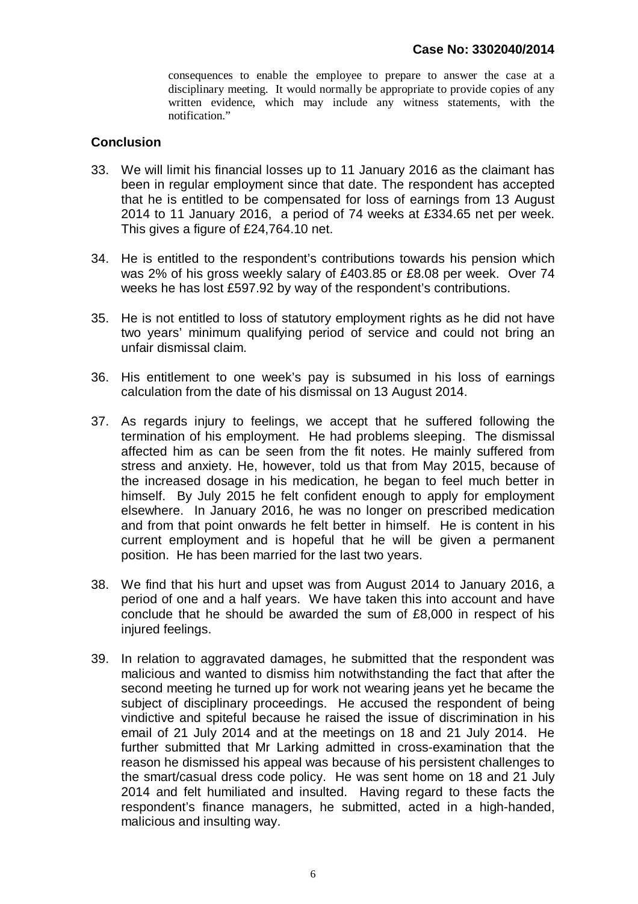consequences to enable the employee to prepare to answer the case at a disciplinary meeting. It would normally be appropriate to provide copies of any written evidence, which may include any witness statements, with the notification"

#### **Conclusion**

- 33. We will limit his financial losses up to 11 January 2016 as the claimant has been in regular employment since that date. The respondent has accepted that he is entitled to be compensated for loss of earnings from 13 August 2014 to 11 January 2016, a period of 74 weeks at £334.65 net per week. This gives a figure of £24,764.10 net.
- 34. He is entitled to the respondent's contributions towards his pension which was 2% of his gross weekly salary of £403.85 or £8.08 per week. Over 74 weeks he has lost £597.92 by way of the respondent's contributions.
- 35. He is not entitled to loss of statutory employment rights as he did not have two years' minimum qualifying period of service and could not bring an unfair dismissal claim.
- 36. His entitlement to one week's pay is subsumed in his loss of earnings calculation from the date of his dismissal on 13 August 2014.
- 37. As regards injury to feelings, we accept that he suffered following the termination of his employment. He had problems sleeping. The dismissal affected him as can be seen from the fit notes. He mainly suffered from stress and anxiety. He, however, told us that from May 2015, because of the increased dosage in his medication, he began to feel much better in himself. By July 2015 he felt confident enough to apply for employment elsewhere. In January 2016, he was no longer on prescribed medication and from that point onwards he felt better in himself. He is content in his current employment and is hopeful that he will be given a permanent position. He has been married for the last two years.
- 38. We find that his hurt and upset was from August 2014 to January 2016, a period of one and a half years. We have taken this into account and have conclude that he should be awarded the sum of £8,000 in respect of his injured feelings.
- 39. In relation to aggravated damages, he submitted that the respondent was malicious and wanted to dismiss him notwithstanding the fact that after the second meeting he turned up for work not wearing jeans yet he became the subject of disciplinary proceedings. He accused the respondent of being vindictive and spiteful because he raised the issue of discrimination in his email of 21 July 2014 and at the meetings on 18 and 21 July 2014. He further submitted that Mr Larking admitted in cross-examination that the reason he dismissed his appeal was because of his persistent challenges to the smart/casual dress code policy. He was sent home on 18 and 21 July 2014 and felt humiliated and insulted. Having regard to these facts the respondent's finance managers, he submitted, acted in a high-handed, malicious and insulting way.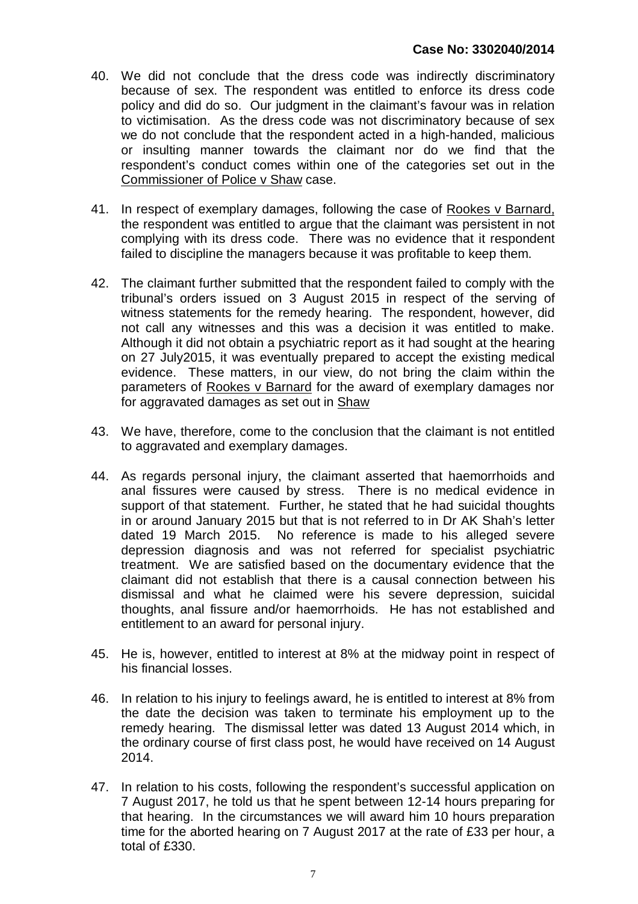- 40. We did not conclude that the dress code was indirectly discriminatory because of sex. The respondent was entitled to enforce its dress code policy and did do so. Our judgment in the claimant's favour was in relation to victimisation. As the dress code was not discriminatory because of sex we do not conclude that the respondent acted in a high-handed, malicious or insulting manner towards the claimant nor do we find that the respondent's conduct comes within one of the categories set out in the Commissioner of Police v Shaw case.
- 41. In respect of exemplary damages, following the case of Rookes v Barnard, the respondent was entitled to argue that the claimant was persistent in not complying with its dress code. There was no evidence that it respondent failed to discipline the managers because it was profitable to keep them.
- 42. The claimant further submitted that the respondent failed to comply with the tribunal's orders issued on 3 August 2015 in respect of the serving of witness statements for the remedy hearing. The respondent, however, did not call any witnesses and this was a decision it was entitled to make. Although it did not obtain a psychiatric report as it had sought at the hearing on 27 July2015, it was eventually prepared to accept the existing medical evidence. These matters, in our view, do not bring the claim within the parameters of Rookes v Barnard for the award of exemplary damages nor for aggravated damages as set out in Shaw
- 43. We have, therefore, come to the conclusion that the claimant is not entitled to aggravated and exemplary damages.
- 44. As regards personal injury, the claimant asserted that haemorrhoids and anal fissures were caused by stress. There is no medical evidence in support of that statement. Further, he stated that he had suicidal thoughts in or around January 2015 but that is not referred to in Dr AK Shah's letter dated 19 March 2015. No reference is made to his alleged severe depression diagnosis and was not referred for specialist psychiatric treatment. We are satisfied based on the documentary evidence that the claimant did not establish that there is a causal connection between his dismissal and what he claimed were his severe depression, suicidal thoughts, anal fissure and/or haemorrhoids. He has not established and entitlement to an award for personal injury.
- 45. He is, however, entitled to interest at 8% at the midway point in respect of his financial losses.
- 46. In relation to his injury to feelings award, he is entitled to interest at 8% from the date the decision was taken to terminate his employment up to the remedy hearing. The dismissal letter was dated 13 August 2014 which, in the ordinary course of first class post, he would have received on 14 August 2014.
- 47. In relation to his costs, following the respondent's successful application on 7 August 2017, he told us that he spent between 12-14 hours preparing for that hearing. In the circumstances we will award him 10 hours preparation time for the aborted hearing on 7 August 2017 at the rate of £33 per hour, a total of £330.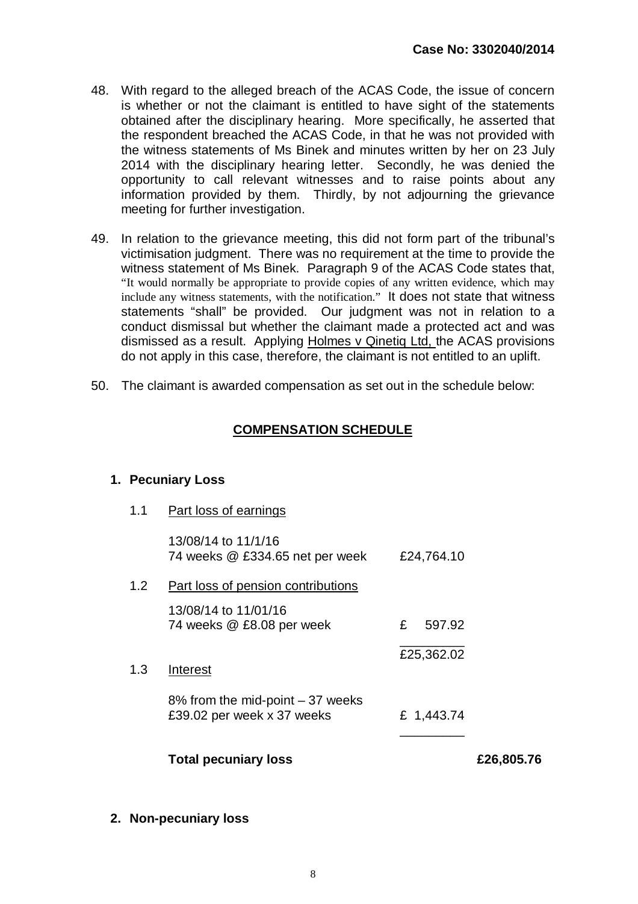- 48. With regard to the alleged breach of the ACAS Code, the issue of concern is whether or not the claimant is entitled to have sight of the statements obtained after the disciplinary hearing. More specifically, he asserted that the respondent breached the ACAS Code, in that he was not provided with the witness statements of Ms Binek and minutes written by her on 23 July 2014 with the disciplinary hearing letter. Secondly, he was denied the opportunity to call relevant witnesses and to raise points about any information provided by them. Thirdly, by not adjourning the grievance meeting for further investigation.
- 49. In relation to the grievance meeting, this did not form part of the tribunal's victimisation judgment. There was no requirement at the time to provide the witness statement of Ms Binek. Paragraph 9 of the ACAS Code states that, "It would normally be appropriate to provide copies of any written evidence, which may include any witness statements, with the notification." It does not state that witness statements "shall" be provided. Our judgment was not in relation to a conduct dismissal but whether the claimant made a protected act and was dismissed as a result. Applying Holmes v Qinetiq Ltd, the ACAS provisions do not apply in this case, therefore, the claimant is not entitled to an uplift.
- 50. The claimant is awarded compensation as set out in the schedule below:

#### **COMPENSATION SCHEDULE**

#### **1. Pecuniary Loss**

1.1 Part loss of earnings

| 13/08/14 to 11/1/16             |            |
|---------------------------------|------------|
| 74 weeks @ £334.65 net per week | £24,764.10 |

1.2 Part loss of pension contributions

13/08/14 to 11/01/16 74 weeks @ £8.08 per week  $\fbox{\qquad}$  £ 597.92 \_\_\_\_\_\_\_\_\_

1.3 Interest

8% from the mid-point – 37 weeks £39.02 per week x 37 weeks £ 1,443.74

**Total pecuniary loss £26,805.76**

£25,362.02

\_\_\_\_\_\_\_\_\_

**2. Non-pecuniary loss**